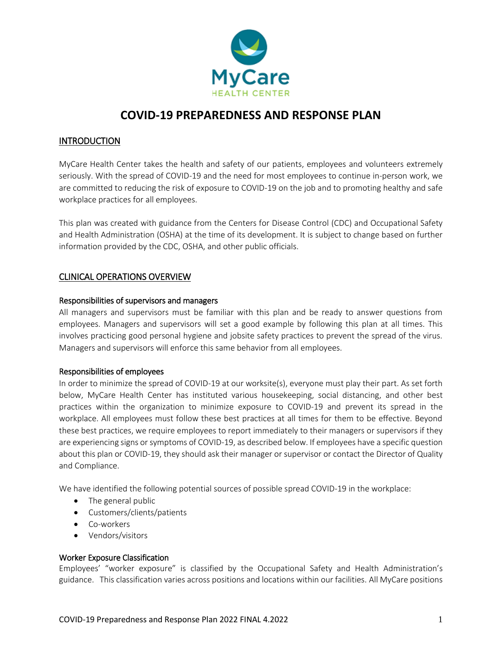

### INTRODUCTION

MyCare Health Center takes the health and safety of our patients, employees and volunteers extremely seriously. With the spread of COVID-19 and the need for most employees to continue in-person work, we are committed to reducing the risk of exposure to COVID-19 on the job and to promoting healthy and safe workplace practices for all employees.

This plan was created with guidance from the Centers for Disease Control (CDC) and Occupational Safety and Health Administration (OSHA) at the time of its development. It is subject to change based on further information provided by the CDC, OSHA, and other public officials.

### CLINICAL OPERATIONS OVERVIEW

#### Responsibilities of supervisors and managers

All managers and supervisors must be familiar with this plan and be ready to answer questions from employees. Managers and supervisors will set a good example by following this plan at all times. This involves practicing good personal hygiene and jobsite safety practices to prevent the spread of the virus. Managers and supervisors will enforce this same behavior from all employees.

#### Responsibilities of employees

In order to minimize the spread of COVID-19 at our worksite(s), everyone must play their part. As set forth below, MyCare Health Center has instituted various housekeeping, social distancing, and other best practices within the organization to minimize exposure to COVID-19 and prevent its spread in the workplace. All employees must follow these best practices at all times for them to be effective. Beyond these best practices, we require employees to report immediately to their managers or supervisors if they are experiencing signs or symptoms of COVID-19, as described below. If employees have a specific question about this plan or COVID-19, they should ask their manager or supervisor or contact the Director of Quality and Compliance.

We have identified the following potential sources of possible spread COVID-19 in the workplace:

- The general public
- Customers/clients/patients
- Co-workers
- Vendors/visitors

#### Worker Exposure Classification

Employees' "worker exposure" is classified by the Occupational Safety and Health Administration's guidance. This classification varies across positions and locations within our facilities. All MyCare positions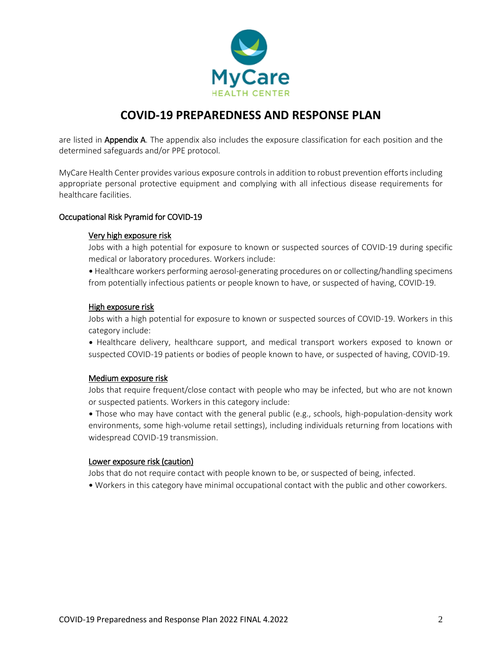

are listed in Appendix A. The appendix also includes the exposure classification for each position and the determined safeguards and/or PPE protocol.

MyCare Health Center provides various exposure controls in addition to robust prevention efforts including appropriate personal protective equipment and complying with all infectious disease requirements for healthcare facilities.

#### Occupational Risk Pyramid for COVID-19

#### Very high exposure risk

Jobs with a high potential for exposure to known or suspected sources of COVID-19 during specific medical or laboratory procedures. Workers include:

• Healthcare workers performing aerosol-generating procedures on or collecting/handling specimens from potentially infectious patients or people known to have, or suspected of having, COVID-19.

#### High exposure risk

Jobs with a high potential for exposure to known or suspected sources of COVID-19. Workers in this category include:

• Healthcare delivery, healthcare support, and medical transport workers exposed to known or suspected COVID-19 patients or bodies of people known to have, or suspected of having, COVID-19.

#### Medium exposure risk

Jobs that require frequent/close contact with people who may be infected, but who are not known or suspected patients. Workers in this category include:

• Those who may have contact with the general public (e.g., schools, high-population-density work environments, some high-volume retail settings), including individuals returning from locations with widespread COVID-19 transmission.

#### Lower exposure risk (caution)

Jobs that do not require contact with people known to be, or suspected of being, infected.

• Workers in this category have minimal occupational contact with the public and other coworkers.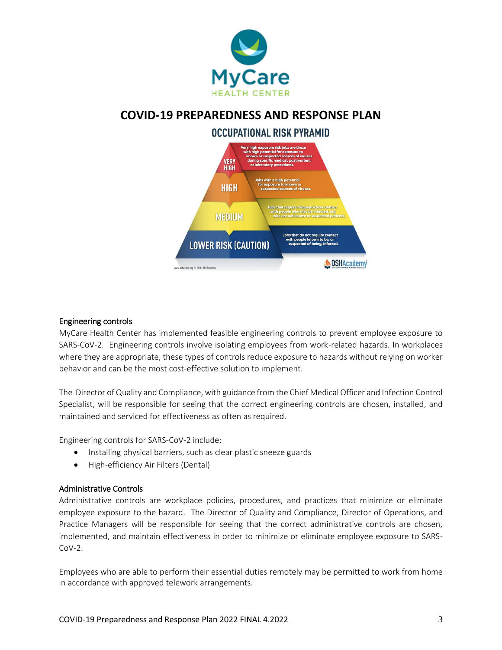





#### Engineering controls

MyCare Health Center has implemented feasible engineering controls to prevent employee exposure to SARS-CoV-2. Engineering controls involve isolating employees from work-related hazards. In workplaces where they are appropriate, these types of controls reduce exposure to hazards without relying on worker behavior and can be the most cost-effective solution to implement.

The Director of Quality and Compliance, with guidance from the Chief Medical Officer and Infection Control Specialist, will be responsible for seeing that the correct engineering controls are chosen, installed, and maintained and serviced for effectiveness as often as required.

Engineering controls for SARS-CoV-2 include:

- Installing physical barriers, such as clear plastic sneeze guards
- High-efficiency Air Filters (Dental)

#### Administrative Controls

Administrative controls are workplace policies, procedures, and practices that minimize or eliminate employee exposure to the hazard. The Director of Quality and Compliance, Director of Operations, and Practice Managers will be responsible for seeing that the correct administrative controls are chosen, implemented, and maintain effectiveness in order to minimize or eliminate employee exposure to SARS- $Cov-2$ .

Employees who are able to perform their essential duties remotely may be permitted to work from home in accordance with approved telework arrangements.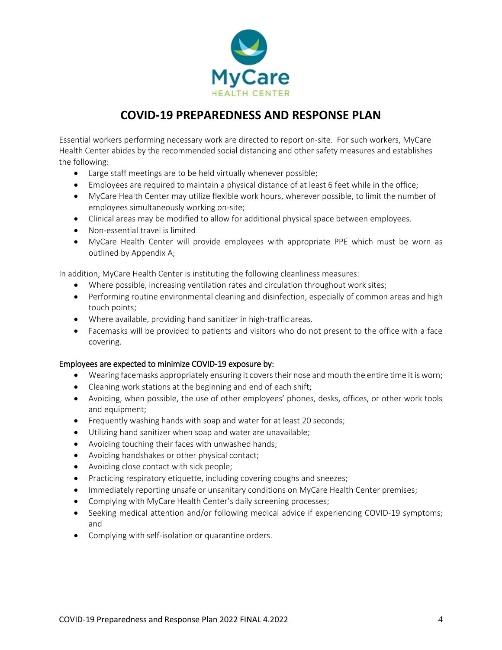

Essential workers performing necessary work are directed to report on-site. For such workers, MyCare Health Center abides by the recommended social distancing and other safety measures and establishes the following:

- Large staff meetings are to be held virtually whenever possible;
- Employees are required to maintain a physical distance of at least 6 feet while in the office;
- MyCare Health Center may utilize flexible work hours, wherever possible, to limit the number of employees simultaneously working on-site;
- Clinical areas may be modified to allow for additional physical space between employees.
- Non-essential travel is limited
- MyCare Health Center will provide employees with appropriate PPE which must be worn as outlined by Appendix A;

In addition, MyCare Health Center is instituting the following cleanliness measures:

- Where possible, increasing ventilation rates and circulation throughout work sites;
- Performing routine environmental cleaning and disinfection, especially of common areas and high touch points;
- Where available, providing hand sanitizer in high-traffic areas.
- Facemasks will be provided to patients and visitors who do not present to the office with a face covering.

### Employees are expected to minimize COVID-19 exposure by:

- Wearing facemasks appropriately ensuring it covers their nose and mouth the entire time it is worn;
- Cleaning work stations at the beginning and end of each shift;
- Avoiding, when possible, the use of other employees' phones, desks, offices, or other work tools and equipment;
- Frequently washing hands with soap and water for at least 20 seconds;
- Utilizing hand sanitizer when soap and water are unavailable;
- Avoiding touching their faces with unwashed hands;
- Avoiding handshakes or other physical contact;
- Avoiding close contact with sick people;
- Practicing respiratory etiquette, including covering coughs and sneezes;
- Immediately reporting unsafe or unsanitary conditions on MyCare Health Center premises;
- Complying with MyCare Health Center's daily screening processes;
- Seeking medical attention and/or following medical advice if experiencing COVID-19 symptoms; and
- Complying with self-isolation or quarantine orders.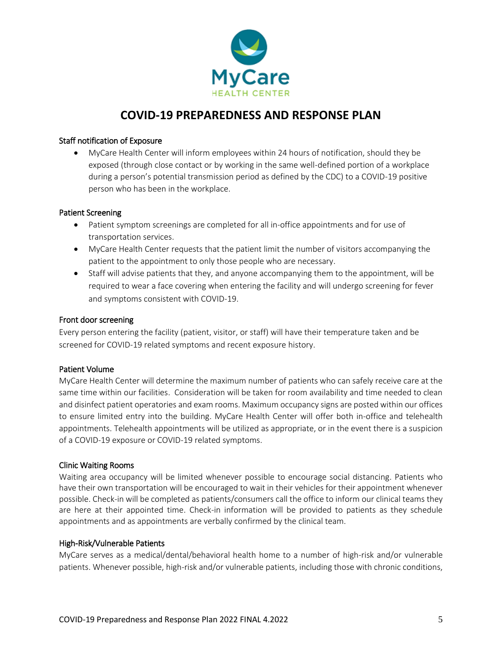

#### Staff notification of Exposure

 MyCare Health Center will inform employees within 24 hours of notification, should they be exposed (through close contact or by working in the same well-defined portion of a workplace during a person's potential transmission period as defined by the CDC) to a COVID-19 positive person who has been in the workplace.

#### Patient Screening

- Patient symptom screenings are completed for all in-office appointments and for use of transportation services.
- MyCare Health Center requests that the patient limit the number of visitors accompanying the patient to the appointment to only those people who are necessary.
- Staff will advise patients that they, and anyone accompanying them to the appointment, will be required to wear a face covering when entering the facility and will undergo screening for fever and symptoms consistent with COVID-19.

#### Front door screening

Every person entering the facility (patient, visitor, or staff) will have their temperature taken and be screened for COVID-19 related symptoms and recent exposure history.

#### Patient Volume

MyCare Health Center will determine the maximum number of patients who can safely receive care at the same time within our facilities. Consideration will be taken for room availability and time needed to clean and disinfect patient operatories and exam rooms. Maximum occupancy signs are posted within our offices to ensure limited entry into the building. MyCare Health Center will offer both in-office and telehealth appointments. Telehealth appointments will be utilized as appropriate, or in the event there is a suspicion of a COVID-19 exposure or COVID-19 related symptoms.

#### Clinic Waiting Rooms

Waiting area occupancy will be limited whenever possible to encourage social distancing. Patients who have their own transportation will be encouraged to wait in their vehicles for their appointment whenever possible. Check-in will be completed as patients/consumers call the office to inform our clinical teams they are here at their appointed time. Check-in information will be provided to patients as they schedule appointments and as appointments are verbally confirmed by the clinical team.

#### High-Risk/Vulnerable Patients

MyCare serves as a medical/dental/behavioral health home to a number of high-risk and/or vulnerable patients. Whenever possible, high-risk and/or vulnerable patients, including those with chronic conditions,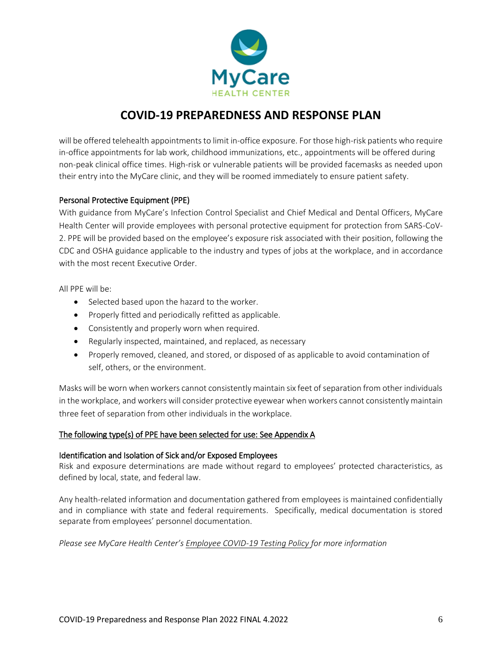

will be offered telehealth appointments to limit in-office exposure. For those high-risk patients who require in-office appointments for lab work, childhood immunizations, etc., appointments will be offered during non-peak clinical office times. High-risk or vulnerable patients will be provided facemasks as needed upon their entry into the MyCare clinic, and they will be roomed immediately to ensure patient safety.

### Personal Protective Equipment (PPE)

With guidance from MyCare's Infection Control Specialist and Chief Medical and Dental Officers, MyCare Health Center will provide employees with personal protective equipment for protection from SARS-CoV-2. PPE will be provided based on the employee's exposure risk associated with their position, following the CDC and OSHA guidance applicable to the industry and types of jobs at the workplace, and in accordance with the most recent Executive Order.

All PPE will be:

- Selected based upon the hazard to the worker.
- Properly fitted and periodically refitted as applicable.
- Consistently and properly worn when required.
- Regularly inspected, maintained, and replaced, as necessary
- Properly removed, cleaned, and stored, or disposed of as applicable to avoid contamination of self, others, or the environment.

Masks will be worn when workers cannot consistently maintain six feet of separation from other individuals in the workplace, and workers will consider protective eyewear when workers cannot consistently maintain three feet of separation from other individuals in the workplace.

### The following type(s) of PPE have been selected for use: See Appendix A

### Identification and Isolation of Sick and/or Exposed Employees

Risk and exposure determinations are made without regard to employees' protected characteristics, as defined by local, state, and federal law.

Any health-related information and documentation gathered from employees is maintained confidentially and in compliance with state and federal requirements. Specifically, medical documentation is stored separate from employees' personnel documentation.

*Please see MyCare Health Center's Employee COVID-19 Testing Policy for more information*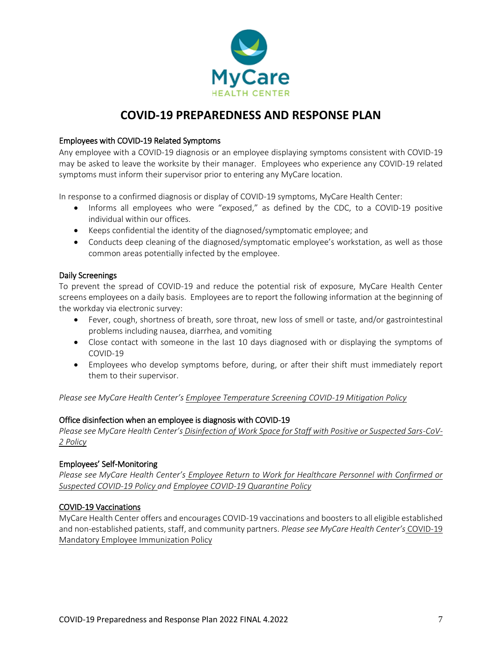

### Employees with COVID-19 Related Symptoms

Any employee with a COVID-19 diagnosis or an employee displaying symptoms consistent with COVID-19 may be asked to leave the worksite by their manager. Employees who experience any COVID-19 related symptoms must inform their supervisor prior to entering any MyCare location.

In response to a confirmed diagnosis or display of COVID-19 symptoms, MyCare Health Center:

- Informs all employees who were "exposed," as defined by the CDC, to a COVID-19 positive individual within our offices.
- Keeps confidential the identity of the diagnosed/symptomatic employee; and
- Conducts deep cleaning of the diagnosed/symptomatic employee's workstation, as well as those common areas potentially infected by the employee.

#### Daily Screenings

To prevent the spread of COVID-19 and reduce the potential risk of exposure, MyCare Health Center screens employees on a daily basis. Employees are to report the following information at the beginning of the workday via electronic survey:

- Fever, cough, shortness of breath, sore throat, new loss of smell or taste, and/or gastrointestinal problems including nausea, diarrhea, and vomiting
- Close contact with someone in the last 10 days diagnosed with or displaying the symptoms of COVID-19
- Employees who develop symptoms before, during, or after their shift must immediately report them to their supervisor.

*Please see MyCare Health Center's Employee Temperature Screening COVID-19 Mitigation Policy*

#### Office disinfection when an employee is diagnosis with COVID-19

*Please see MyCare Health Center's Disinfection of Work Space for Staff with Positive or Suspected Sars-CoV-2 Policy*

#### Employees' Self-Monitoring

*Please see MyCare Health Center's Employee Return to Work for Healthcare Personnel with Confirmed or Suspected COVID-19 Policy and Employee COVID-19 Quarantine Policy*

#### COVID-19 Vaccinations

MyCare Health Center offers and encourages COVID-19 vaccinations and boosters to all eligible established and non-established patients, staff, and community partners. *Please see MyCare Health Center's* COVID-19 Mandatory Employee Immunization Policy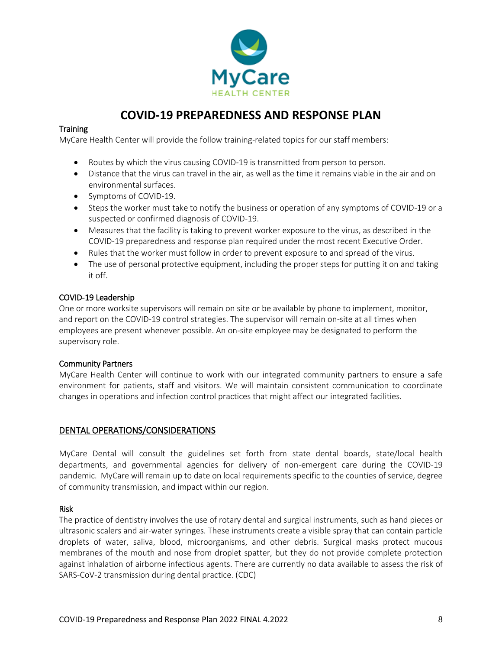

#### **Training**

MyCare Health Center will provide the follow training-related topics for our staff members:

- Routes by which the virus causing COVID-19 is transmitted from person to person.
- Distance that the virus can travel in the air, as well as the time it remains viable in the air and on environmental surfaces.
- Symptoms of COVID-19.
- Steps the worker must take to notify the business or operation of any symptoms of COVID-19 or a suspected or confirmed diagnosis of COVID-19.
- Measures that the facility is taking to prevent worker exposure to the virus, as described in the COVID-19 preparedness and response plan required under the most recent Executive Order.
- Rules that the worker must follow in order to prevent exposure to and spread of the virus.
- The use of personal protective equipment, including the proper steps for putting it on and taking it off.

#### COVID-19 Leadership

One or more worksite supervisors will remain on site or be available by phone to implement, monitor, and report on the COVID-19 control strategies. The supervisor will remain on-site at all times when employees are present whenever possible. An on-site employee may be designated to perform the supervisory role.

#### Community Partners

MyCare Health Center will continue to work with our integrated community partners to ensure a safe environment for patients, staff and visitors. We will maintain consistent communication to coordinate changes in operations and infection control practices that might affect our integrated facilities.

### DENTAL OPERATIONS/CONSIDERATIONS

MyCare Dental will consult the guidelines set forth from state dental boards, state/local health departments, and governmental agencies for delivery of non-emergent care during the COVID-19 pandemic. MyCare will remain up to date on local requirements specific to the counties of service, degree of community transmission, and impact within our region.

#### Risk

The practice of dentistry involves the use of rotary dental and surgical instruments, such as hand pieces or ultrasonic scalers and air-water syringes. These instruments create a visible spray that can contain particle droplets of water, saliva, blood, microorganisms, and other debris. Surgical masks protect mucous membranes of the mouth and nose from droplet spatter, but they do not provide complete protection against inhalation of airborne infectious agents. There are currently no data available to assess the risk of SARS-CoV-2 transmission during dental practice. (CDC)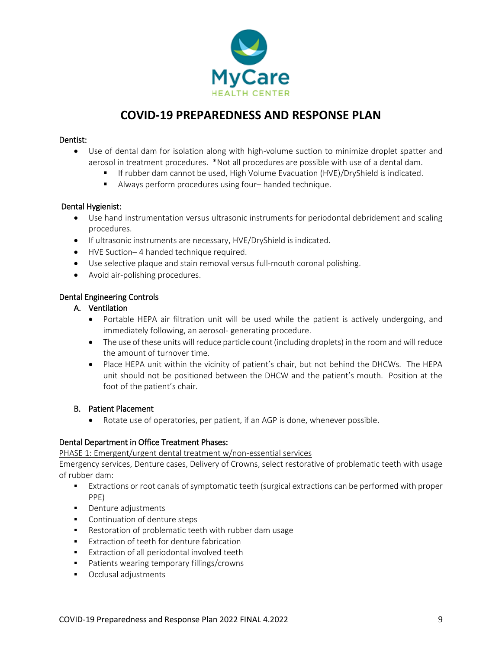

#### Dentist:

- Use of dental dam for isolation along with high-volume suction to minimize droplet spatter and aerosol in treatment procedures. \*Not all procedures are possible with use of a dental dam.
	- If rubber dam cannot be used, High Volume Evacuation (HVE)/DryShield is indicated.
	- Always perform procedures using four– handed technique.

#### Dental Hygienist:

- Use hand instrumentation versus ultrasonic instruments for periodontal debridement and scaling procedures.
- If ultrasonic instruments are necessary, HVE/DryShield is indicated.
- HVE Suction– 4 handed technique required.
- Use selective plaque and stain removal versus full-mouth coronal polishing.
- Avoid air-polishing procedures.

#### Dental Engineering Controls

#### A. Ventilation

- Portable HEPA air filtration unit will be used while the patient is actively undergoing, and immediately following, an aerosol- generating procedure.
- The use of these units will reduce particle count (including droplets) in the room and will reduce the amount of turnover time.
- Place HEPA unit within the vicinity of patient's chair, but not behind the DHCWs. The HEPA unit should not be positioned between the DHCW and the patient's mouth. Position at the foot of the patient's chair.

#### B. Patient Placement

Rotate use of operatories, per patient, if an AGP is done, whenever possible.

### Dental Department in Office Treatment Phases:

PHASE 1: Emergent/urgent dental treatment w/non-essential services

Emergency services, Denture cases, Delivery of Crowns, select restorative of problematic teeth with usage of rubber dam:

- Extractions or root canals of symptomatic teeth (surgical extractions can be performed with proper PPE)
- Denture adjustments
- **Continuation of denture steps**
- Restoration of problematic teeth with rubber dam usage
- **Extraction of teeth for denture fabrication**
- **Extraction of all periodontal involved teeth**
- **Patients wearing temporary fillings/crowns**
- Occlusal adjustments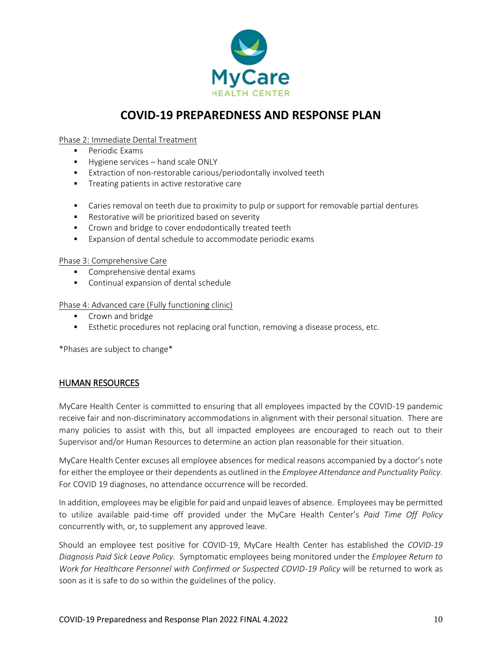

#### Phase 2: Immediate Dental Treatment

- **Periodic Exams**
- **Hygiene services** hand scale ONLY
- **Extraction of non-restorable carious/periodontally involved teeth**
- **Treating patients in active restorative care**
- Caries removal on teeth due to proximity to pulp or support for removable partial dentures
- **Restorative will be prioritized based on severity**
- **Crown and bridge to cover endodontically treated teeth**
- Expansion of dental schedule to accommodate periodic exams

#### Phase 3: Comprehensive Care

- Comprehensive dental exams
- Continual expansion of dental schedule

Phase 4: Advanced care (Fully functioning clinic)

- **Crown and bridge**
- Esthetic procedures not replacing oral function, removing a disease process, etc.

\*Phases are subject to change\*

### HUMAN RESOURCES

MyCare Health Center is committed to ensuring that all employees impacted by the COVID-19 pandemic receive fair and non-discriminatory accommodations in alignment with their personal situation. There are many policies to assist with this, but all impacted employees are encouraged to reach out to their Supervisor and/or Human Resources to determine an action plan reasonable for their situation.

MyCare Health Center excuses all employee absences for medical reasons accompanied by a doctor's note for either the employee or their dependents as outlined in the *Employee Attendance and Punctuality Policy*. For COVID 19 diagnoses, no attendance occurrence will be recorded.

In addition, employees may be eligible for paid and unpaid leaves of absence. Employees may be permitted to utilize available paid-time off provided under the MyCare Health Center's *Paid Time Off Policy* concurrently with, or, to supplement any approved leave.

Should an employee test positive for COVID-19, MyCare Health Center has established the *COVID-19 Diagnosis Paid Sick Leave Policy.* Symptomatic employees being monitored under the *Employee Return to Work for Healthcare Personnel with Confirmed or Suspected COVID-19 Policy* will be returned to work as soon as it is safe to do so within the guidelines of the policy.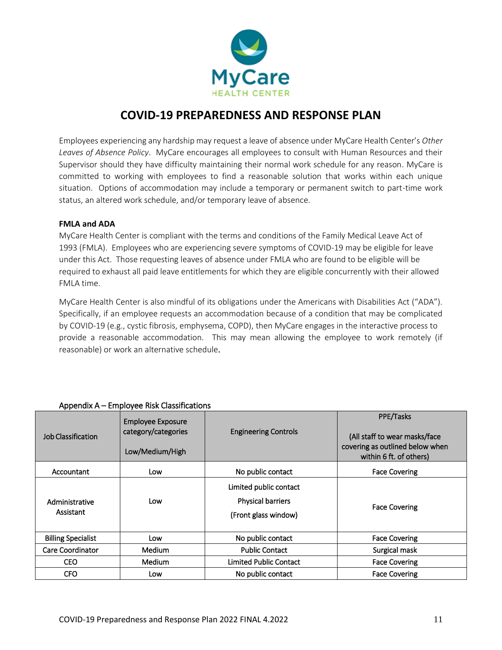

Employees experiencing any hardship may request a leave of absence under MyCare Health Center's *Other Leaves of Absence Policy*. MyCare encourages all employees to consult with Human Resources and their Supervisor should they have difficulty maintaining their normal work schedule for any reason. MyCare is committed to working with employees to find a reasonable solution that works within each unique situation. Options of accommodation may include a temporary or permanent switch to part-time work status, an altered work schedule, and/or temporary leave of absence.

#### **FMLA and ADA**

MyCare Health Center is compliant with the terms and conditions of the Family Medical Leave Act of 1993 (FMLA). Employees who are experiencing severe symptoms of COVID-19 may be eligible for leave under this Act. Those requesting leaves of absence under FMLA who are found to be eligible will be required to exhaust all paid leave entitlements for which they are eligible concurrently with their allowed FMLA time.

MyCare Health Center is also mindful of its obligations under the Americans with Disabilities Act ("ADA"). Specifically, if an employee requests an accommodation because of a condition that may be complicated by COVID-19 (e.g., cystic fibrosis, emphysema, COPD), then MyCare engages in the interactive process to provide a reasonable accommodation. This may mean allowing the employee to work remotely (if reasonable) or work an alternative schedule.

| <b>Job Classification</b>   | <b>Employee Exposure</b><br>category/categories<br>Low/Medium/High | <b>Engineering Controls</b>                                                | PPE/Tasks<br>(All staff to wear masks/face<br>covering as outlined below when<br>within 6 ft. of others) |
|-----------------------------|--------------------------------------------------------------------|----------------------------------------------------------------------------|----------------------------------------------------------------------------------------------------------|
| Accountant                  | Low                                                                | No public contact                                                          | <b>Face Covering</b>                                                                                     |
| Administrative<br>Assistant | Low                                                                | Limited public contact<br><b>Physical barriers</b><br>(Front glass window) | <b>Face Covering</b>                                                                                     |
| <b>Billing Specialist</b>   | Low                                                                | No public contact                                                          | <b>Face Covering</b>                                                                                     |
| Care Coordinator            | <b>Medium</b>                                                      | <b>Public Contact</b>                                                      | Surgical mask                                                                                            |
| <b>CEO</b>                  | <b>Medium</b>                                                      | <b>Limited Public Contact</b>                                              | <b>Face Covering</b>                                                                                     |
| CFO                         | Low                                                                | No public contact                                                          | <b>Face Covering</b>                                                                                     |

#### Appendix A – Employee Risk Classifications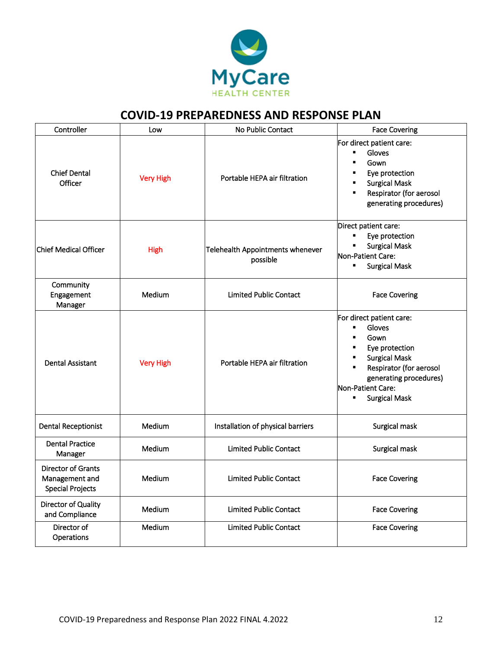

| Controller                                                             | Low              | No Public Contact                            | <b>Face Covering</b>                                                                                                                                                                                                                                   |
|------------------------------------------------------------------------|------------------|----------------------------------------------|--------------------------------------------------------------------------------------------------------------------------------------------------------------------------------------------------------------------------------------------------------|
| <b>Chief Dental</b><br>Officer                                         | <b>Very High</b> | Portable HEPA air filtration                 | For direct patient care:<br>Gloves<br>$\blacksquare$<br>Gown<br>٠<br>Eye protection<br>٠<br><b>Surgical Mask</b><br>٠<br>Respirator (for aerosol<br>generating procedures)                                                                             |
| <b>Chief Medical Officer</b>                                           | <b>High</b>      | Telehealth Appointments whenever<br>possible | Direct patient care:<br>π<br>Eye protection<br><b>Surgical Mask</b><br>Ξ<br>Non-Patient Care:<br><b>Surgical Mask</b><br>$\blacksquare$                                                                                                                |
| Community<br>Engagement<br>Manager                                     | Medium           | <b>Limited Public Contact</b>                | <b>Face Covering</b>                                                                                                                                                                                                                                   |
| <b>Dental Assistant</b>                                                | <b>Very High</b> | Portable HEPA air filtration                 | For direct patient care:<br>Gloves<br>$\blacksquare$<br>Gown<br>$\blacksquare$<br>Eye protection<br>٠<br><b>Surgical Mask</b><br>$\blacksquare$<br>Respirator (for aerosol<br>٠<br>generating procedures)<br>Non-Patient Care:<br><b>Surgical Mask</b> |
| <b>Dental Receptionist</b>                                             | Medium           | Installation of physical barriers            | Surgical mask                                                                                                                                                                                                                                          |
| <b>Dental Practice</b><br>Manager                                      | Medium           | <b>Limited Public Contact</b>                | Surgical mask                                                                                                                                                                                                                                          |
| <b>Director of Grants</b><br>Management and<br><b>Special Projects</b> | Medium           | <b>Limited Public Contact</b>                | <b>Face Covering</b>                                                                                                                                                                                                                                   |
| Director of Quality<br>and Compliance                                  | Medium           | <b>Limited Public Contact</b>                | <b>Face Covering</b>                                                                                                                                                                                                                                   |
| Director of<br>Operations                                              | Medium           | <b>Limited Public Contact</b>                | <b>Face Covering</b>                                                                                                                                                                                                                                   |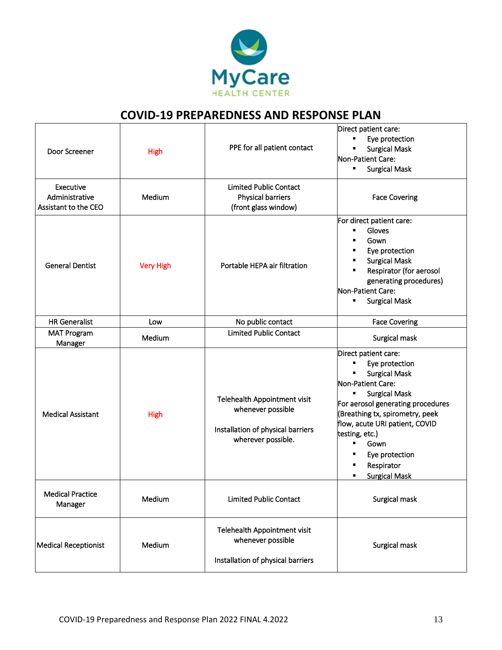

| Door Screener                                       | <b>High</b>      | PPE for all patient contact                                                                                  | Direct patient care:<br>Eye protection<br>٠<br><b>Surgical Mask</b><br>Non-Patient Care:<br><b>Surgical Mask</b><br>٠                                                                                                                                                                                                       |
|-----------------------------------------------------|------------------|--------------------------------------------------------------------------------------------------------------|-----------------------------------------------------------------------------------------------------------------------------------------------------------------------------------------------------------------------------------------------------------------------------------------------------------------------------|
| Executive<br>Administrative<br>Assistant to the CEO | Medium           | <b>Limited Public Contact</b><br>Physical barriers<br>(front glass window)                                   | <b>Face Covering</b>                                                                                                                                                                                                                                                                                                        |
| <b>General Dentist</b>                              | <b>Very High</b> | Portable HEPA air filtration                                                                                 | For direct patient care:<br>Gloves<br>٠<br>Gown<br>Eye protection<br>٠<br><b>Surgical Mask</b><br>Respirator (for aerosol<br>٠<br>generating procedures)<br>Non-Patient Care:<br><b>Surgical Mask</b><br>٠                                                                                                                  |
| <b>HR Generalist</b>                                | Low              | No public contact                                                                                            | <b>Face Covering</b>                                                                                                                                                                                                                                                                                                        |
| <b>MAT Program</b><br>Manager                       | Medium           | <b>Limited Public Contact</b>                                                                                | Surgical mask                                                                                                                                                                                                                                                                                                               |
| <b>Medical Assistant</b>                            | <b>High</b>      | Telehealth Appointment visit<br>whenever possible<br>Installation of physical barriers<br>wherever possible. | Direct patient care:<br>Eye protection<br>٠<br><b>Surgical Mask</b><br>Non-Patient Care:<br><b>Surgical Mask</b><br>For aerosol generating procedures<br>(Breathing tx, spirometry, peek<br>flow, acute URI patient, COVID<br>testing, etc.)<br>٠<br>Gown<br>٠<br>Eye protection<br>Respirator<br>٠<br><b>Surgical Mask</b> |
| <b>Medical Practice</b><br>Manager                  | Medium           | <b>Limited Public Contact</b>                                                                                | Surgical mask                                                                                                                                                                                                                                                                                                               |
| <b>Medical Receptionist</b>                         | Medium           | Telehealth Appointment visit<br>whenever possible<br>Installation of physical barriers                       | Surgical mask                                                                                                                                                                                                                                                                                                               |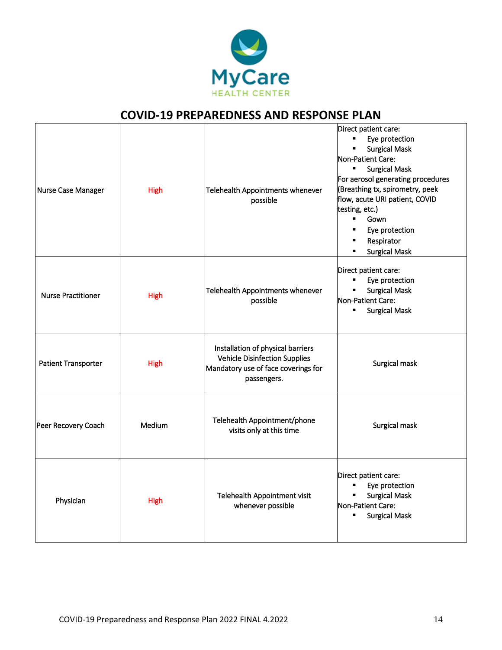

| Nurse Case Manager         | <b>High</b> | Telehealth Appointments whenever<br>possible                                                                                    | Direct patient care:<br>Eye protection<br>٠.<br><b>Surgical Mask</b><br>٠<br>Non-Patient Care:<br><b>Surgical Mask</b><br>Ξ<br>For aerosol generating procedures<br>(Breathing tx, spirometry, peek<br>flow, acute URI patient, COVID<br>testing, etc.)<br>٠<br>Gown<br>Eye protection<br>Respirator<br><b>Surgical Mask</b><br>٠ |
|----------------------------|-------------|---------------------------------------------------------------------------------------------------------------------------------|-----------------------------------------------------------------------------------------------------------------------------------------------------------------------------------------------------------------------------------------------------------------------------------------------------------------------------------|
| <b>Nurse Practitioner</b>  | <b>High</b> | Telehealth Appointments whenever<br>possible                                                                                    | Direct patient care:<br>Eye protection<br>π<br><b>Surgical Mask</b><br>Non-Patient Care:<br><b>Surgical Mask</b><br>$\blacksquare$                                                                                                                                                                                                |
| <b>Patient Transporter</b> | <b>High</b> | Installation of physical barriers<br><b>Vehicle Disinfection Supplies</b><br>Mandatory use of face coverings for<br>passengers. | Surgical mask                                                                                                                                                                                                                                                                                                                     |
| Peer Recovery Coach        | Medium      | Telehealth Appointment/phone<br>visits only at this time                                                                        | Surgical mask                                                                                                                                                                                                                                                                                                                     |
| Physician                  | High        | Telehealth Appointment visit<br>whenever possible                                                                               | Direct patient care:<br>Eye protection<br>٠<br><b>Surgical Mask</b><br>٠<br>Non-Patient Care:<br><b>Surgical Mask</b>                                                                                                                                                                                                             |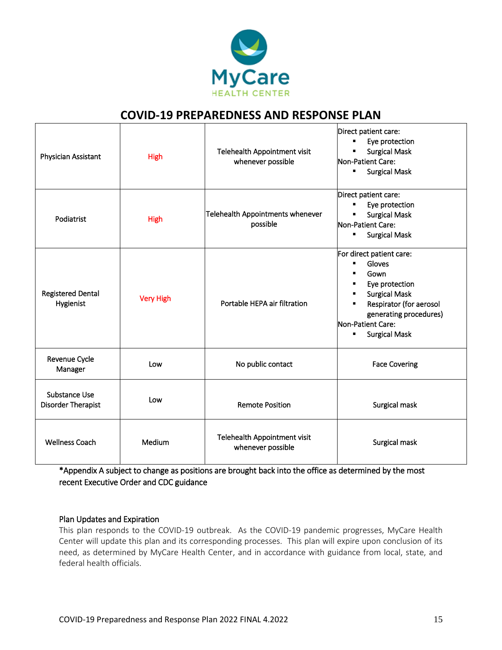

| Physician Assistant                   | <b>High</b>      | Telehealth Appointment visit<br>whenever possible | Direct patient care:<br>Eye protection<br>٠<br><b>Surgical Mask</b><br>Non-Patient Care:<br><b>Surgical Mask</b><br>٠                                                                                                                     |
|---------------------------------------|------------------|---------------------------------------------------|-------------------------------------------------------------------------------------------------------------------------------------------------------------------------------------------------------------------------------------------|
| Podiatrist                            | <b>High</b>      | Telehealth Appointments whenever<br>possible      | Direct patient care:<br>Eye protection<br>٠<br><b>Surgical Mask</b><br>Non-Patient Care:<br><b>Surgical Mask</b><br>٠                                                                                                                     |
| <b>Registered Dental</b><br>Hygienist | <b>Very High</b> | Portable HEPA air filtration                      | For direct patient care:<br>Gloves<br>٠<br>Gown<br>Eye protection<br>٠<br><b>Surgical Mask</b><br>$\blacksquare$<br>Respirator (for aerosol<br>$\blacksquare$<br>generating procedures)<br>Non-Patient Care:<br><b>Surgical Mask</b><br>٠ |
| Revenue Cycle<br>Manager              | Low              | No public contact                                 | <b>Face Covering</b>                                                                                                                                                                                                                      |
| Substance Use<br>Disorder Therapist   | Low              | <b>Remote Position</b>                            | Surgical mask                                                                                                                                                                                                                             |
| <b>Wellness Coach</b>                 | Medium           | Telehealth Appointment visit<br>whenever possible | Surgical mask                                                                                                                                                                                                                             |

\*Appendix A subject to change as positions are brought back into the office as determined by the most recent Executive Order and CDC guidance

#### Plan Updates and Expiration

This plan responds to the COVID-19 outbreak. As the COVID-19 pandemic progresses, MyCare Health Center will update this plan and its corresponding processes. This plan will expire upon conclusion of its need, as determined by MyCare Health Center, and in accordance with guidance from local, state, and federal health officials.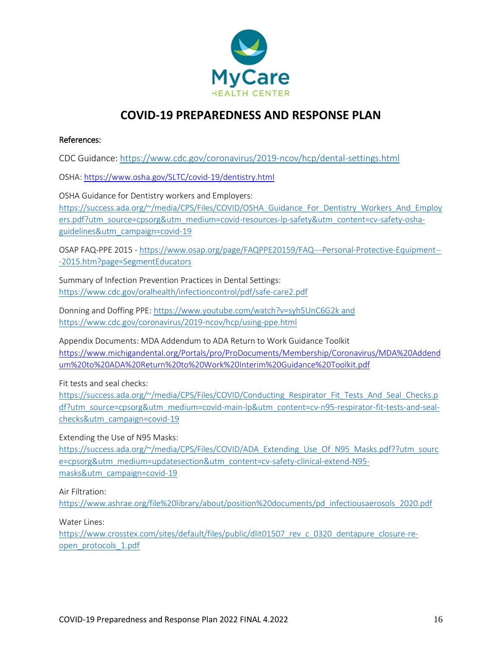

#### References:

CDC Guidance:<https://www.cdc.gov/coronavirus/2019-ncov/hcp/dental-settings.html>

OSHA[: https://www.osha.gov/SLTC/covid-19/dentistry.html](https://www.osha.gov/SLTC/covid-19/dentistry.html)

OSHA Guidance for Dentistry workers and Employers: [https://success.ada.org/~/media/CPS/Files/COVID/OSHA\\_Guidance\\_For\\_Dentistry\\_Workers\\_And\\_Employ](https://success.ada.org/~/media/CPS/Files/COVID/OSHA_Guidance_For_Dentistry_Workers_And_Employers.pdf?utm_source=cpsorg&utm_medium=covid-resources-lp-safety&utm_content=cv-safety-osha-guidelines&utm_campaign=covid-19) [ers.pdf?utm\\_source=cpsorg&utm\\_medium=covid-resources-lp-safety&utm\\_content=cv-safety-osha](https://success.ada.org/~/media/CPS/Files/COVID/OSHA_Guidance_For_Dentistry_Workers_And_Employers.pdf?utm_source=cpsorg&utm_medium=covid-resources-lp-safety&utm_content=cv-safety-osha-guidelines&utm_campaign=covid-19)[guidelines&utm\\_campaign=covid-19](https://success.ada.org/~/media/CPS/Files/COVID/OSHA_Guidance_For_Dentistry_Workers_And_Employers.pdf?utm_source=cpsorg&utm_medium=covid-resources-lp-safety&utm_content=cv-safety-osha-guidelines&utm_campaign=covid-19)

OSAP FAQ-PPE 2015 - [https://www.osap.org/page/FAQPPE20159/FAQ---Personal-Protective-Equipment--](https://www.osap.org/page/FAQPPE20159/FAQ---Personal-Protective-Equipment---2015.htm?page=SegmentEducators) [-2015.htm?page=SegmentEducators](https://www.osap.org/page/FAQPPE20159/FAQ---Personal-Protective-Equipment---2015.htm?page=SegmentEducators)

Summary of Infection Prevention Practices in Dental Settings: <https://www.cdc.gov/oralhealth/infectioncontrol/pdf/safe-care2.pdf>

Donning and Doffing PPE[: https://www.youtube.com/watch?v=syh5UnC6G2k](https://www.youtube.com/watch?v=syh5UnC6G2k) and <https://www.cdc.gov/coronavirus/2019-ncov/hcp/using-ppe.html>

Appendix Documents: MDA Addendum to ADA Return to Work Guidance Toolkit [https://www.michigandental.org/Portals/pro/ProDocuments/Membership/Coronavirus/MDA%20Addend](https://www.michigandental.org/Portals/pro/ProDocuments/Membership/Coronavirus/MDA%20Addendum%20to%20ADA%20Return%20to%20Work%20Interim%20Guidance%20Toolkit.pdf) [um%20to%20ADA%20Return%20to%20Work%20Interim%20Guidance%20Toolkit.pdf](https://www.michigandental.org/Portals/pro/ProDocuments/Membership/Coronavirus/MDA%20Addendum%20to%20ADA%20Return%20to%20Work%20Interim%20Guidance%20Toolkit.pdf)

Fit tests and seal checks:

[https://success.ada.org/~/media/CPS/Files/COVID/Conducting\\_Respirator\\_Fit\\_Tests\\_And\\_Seal\\_Checks.p](https://success.ada.org/~/media/CPS/Files/COVID/Conducting_Respirator_Fit_Tests_And_Seal_Checks.pdf?utm_source=cpsorg&utm_medium=covid-main-lp&utm_content=cv-n95-respirator-fit-tests-and-seal-checks&utm_campaign=covid-19) [df?utm\\_source=cpsorg&utm\\_medium=covid-main-lp&utm\\_content=cv-n95-respirator-fit-tests-and-seal](https://success.ada.org/~/media/CPS/Files/COVID/Conducting_Respirator_Fit_Tests_And_Seal_Checks.pdf?utm_source=cpsorg&utm_medium=covid-main-lp&utm_content=cv-n95-respirator-fit-tests-and-seal-checks&utm_campaign=covid-19)[checks&utm\\_campaign=covid-19](https://success.ada.org/~/media/CPS/Files/COVID/Conducting_Respirator_Fit_Tests_And_Seal_Checks.pdf?utm_source=cpsorg&utm_medium=covid-main-lp&utm_content=cv-n95-respirator-fit-tests-and-seal-checks&utm_campaign=covid-19)

Extending the Use of N95 Masks:

[https://success.ada.org/~/media/CPS/Files/COVID/ADA\\_Extending\\_Use\\_Of\\_N95\\_Masks.pdf??utm\\_sourc](https://success.ada.org/~/media/CPS/Files/COVID/ADA_Extending_Use_Of_N95_Masks.pdf??utm_source=cpsorg&utm_medium=updatesection&utm_content=cv-safety-clinical-extend-N95-masks&utm_campaign=covid-19) [e=cpsorg&utm\\_medium=updatesection&utm\\_content=cv-safety-clinical-extend-N95](https://success.ada.org/~/media/CPS/Files/COVID/ADA_Extending_Use_Of_N95_Masks.pdf??utm_source=cpsorg&utm_medium=updatesection&utm_content=cv-safety-clinical-extend-N95-masks&utm_campaign=covid-19) [masks&utm\\_campaign=covid-19](https://success.ada.org/~/media/CPS/Files/COVID/ADA_Extending_Use_Of_N95_Masks.pdf??utm_source=cpsorg&utm_medium=updatesection&utm_content=cv-safety-clinical-extend-N95-masks&utm_campaign=covid-19)

Air Filtration:

[https://www.ashrae.org/file%20library/about/position%20documents/pd\\_infectiousaerosols\\_2020.pdf](https://www.ashrae.org/file%20library/about/position%20documents/pd_infectiousaerosols_2020.pdf)

Water Lines:

[https://www.crosstex.com/sites/default/files/public/dlit01507\\_rev\\_c\\_0320\\_dentapure\\_closure-re](https://www.crosstex.com/sites/default/files/public/dlit01507_rev_c_0320_dentapure_closure-re-open_protocols_1.pdf)[open\\_protocols\\_1.pdf](https://www.crosstex.com/sites/default/files/public/dlit01507_rev_c_0320_dentapure_closure-re-open_protocols_1.pdf)